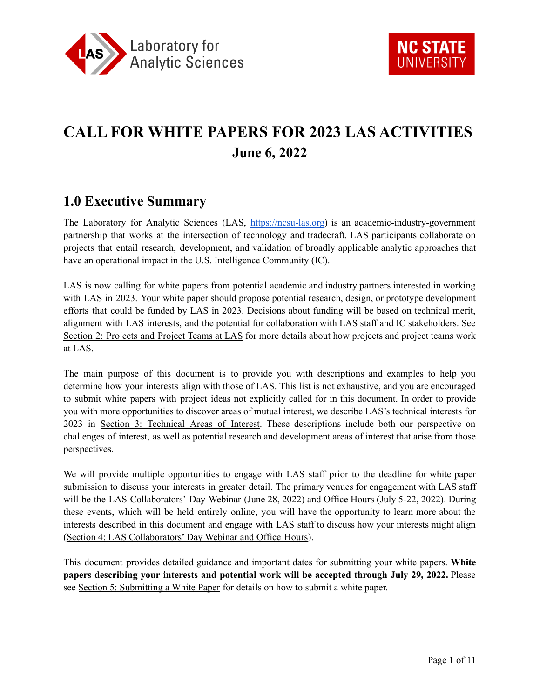

# **CALL FOR WHITE PAPERS FOR 2023 LAS ACTIVITIES June 6, 2022**

### **1.0 Executive Summary**

The Laboratory for Analytic Sciences (LAS, [https://ncsu-las.org\)](https://ncsu-las.org) is an academic-industry-government partnership that works at the intersection of technology and tradecraft. LAS participants collaborate on projects that entail research, development, and validation of broadly applicable analytic approaches that have an operational impact in the U.S. Intelligence Community (IC).

LAS is now calling for white papers from potential academic and industry partners interested in working with LAS in 2023. Your white paper should propose potential research, design, or prototype development efforts that could be funded by LAS in 2023. Decisions about funding will be based on technical merit, alignment with LAS interests, and the potential for collaboration with LAS staff and IC stakeholders. See Section 2: [Projects](#page-1-0) and Project Teams at LAS for more details about how projects and project teams work at LAS.

The main purpose of this document is to provide you with descriptions and examples to help you determine how your interests align with those of LAS. This list is not exhaustive, and you are encouraged to submit white papers with project ideas not explicitly called for in this document. In order to provide you with more opportunities to discover areas of mutual interest, we describe LAS's technical interests for 2023 in Section 3: [Technical](#page-2-0) Areas of Interest. These descriptions include both our perspective on challenges of interest, as well as potential research and development areas of interest that arise from those perspectives.

We will provide multiple opportunities to engage with LAS staff prior to the deadline for white paper submission to discuss your interests in greater detail. The primary venues for engagement with LAS staff will be the LAS Collaborators' Day Webinar (June 28, 2022) and Office Hours (July 5-22, 2022). During these events, which will be held entirely online, you will have the opportunity to learn more about the interests described in this document and engage with LAS staff to discuss how your interests might align (Section 4: LAS [Collaborators'](#page-6-0) Day Webinar and Office Hours).

This document provides detailed guidance and important dates for submitting your white papers. **White papers describing your interests and potential work will be accepted through July 29, 2022.** Please see Section 5: [Submitting](#page-7-0) a White Paper for details on how to submit a white paper.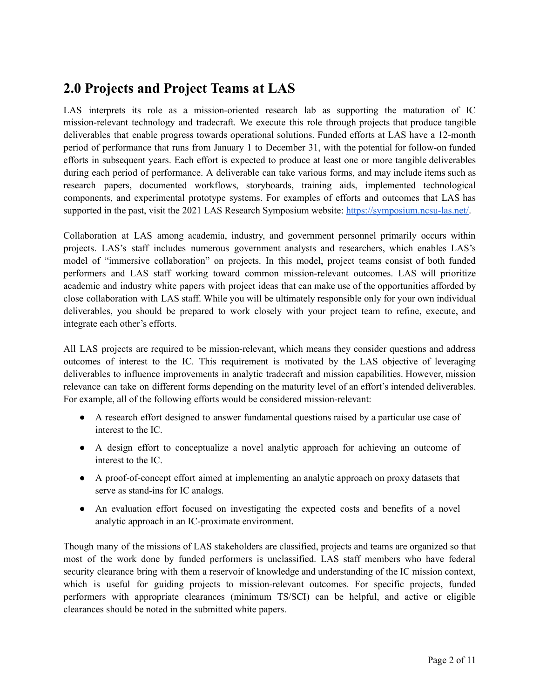## <span id="page-1-0"></span>**2.0 Projects and Project Teams at LAS**

LAS interprets its role as a mission-oriented research lab as supporting the maturation of IC mission-relevant technology and tradecraft. We execute this role through projects that produce tangible deliverables that enable progress towards operational solutions. Funded efforts at LAS have a 12-month period of performance that runs from January 1 to December 31, with the potential for follow-on funded efforts in subsequent years. Each effort is expected to produce at least one or more tangible deliverables during each period of performance. A deliverable can take various forms, and may include items such as research papers, documented workflows, storyboards, training aids, implemented technological components, and experimental prototype systems. For examples of efforts and outcomes that LAS has supported in the past, visit the 2021 LAS Research Symposium website: [https://symposium.ncsu-las.net/.](https://symposium.ncsu-las.net)

Collaboration at LAS among academia, industry, and government personnel primarily occurs within projects. LAS's staff includes numerous government analysts and researchers, which enables LAS's model of "immersive collaboration" on projects. In this model, project teams consist of both funded performers and LAS staff working toward common mission-relevant outcomes. LAS will prioritize academic and industry white papers with project ideas that can make use of the opportunities afforded by close collaboration with LAS staff. While you will be ultimately responsible only for your own individual deliverables, you should be prepared to work closely with your project team to refine, execute, and integrate each other's efforts.

All LAS projects are required to be mission-relevant, which means they consider questions and address outcomes of interest to the IC. This requirement is motivated by the LAS objective of leveraging deliverables to influence improvements in analytic tradecraft and mission capabilities. However, mission relevance can take on different forms depending on the maturity level of an effort's intended deliverables. For example, all of the following efforts would be considered mission-relevant:

- A research effort designed to answer fundamental questions raised by a particular use case of interest to the IC.
- A design effort to conceptualize a novel analytic approach for achieving an outcome of interest to the IC.
- A proof-of-concept effort aimed at implementing an analytic approach on proxy datasets that serve as stand-ins for IC analogs.
- An evaluation effort focused on investigating the expected costs and benefits of a novel analytic approach in an IC-proximate environment.

Though many of the missions of LAS stakeholders are classified, projects and teams are organized so that most of the work done by funded performers is unclassified. LAS staff members who have federal security clearance bring with them a reservoir of knowledge and understanding of the IC mission context, which is useful for guiding projects to mission-relevant outcomes. For specific projects, funded performers with appropriate clearances (minimum TS/SCI) can be helpful, and active or eligible clearances should be noted in the submitted white papers.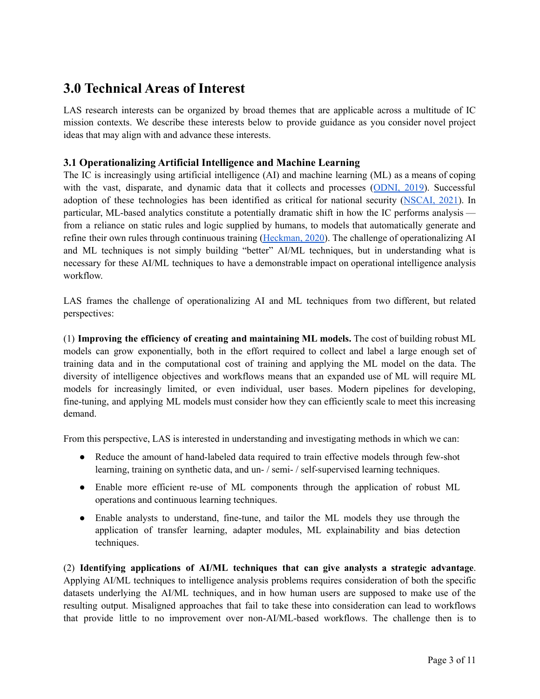### <span id="page-2-0"></span>**3.0 Technical Areas of Interest**

LAS research interests can be organized by broad themes that are applicable across a multitude of IC mission contexts. We describe these interests below to provide guidance as you consider novel project ideas that may align with and advance these interests.

### **3.1 Operationalizing Artificial Intelligence and Machine Learning**

The IC is increasingly using artificial intelligence (AI) and machine learning (ML) as a means of coping with the vast, disparate, and dynamic data that it collects and processes ([ODNI,](#page-10-0) 2019). Successful adoption of these technologies has been identified as critical for national security ([NSCAI,](#page-10-1) 2021). In particular, ML-based analytics constitute a potentially dramatic shift in how the IC performs analysis from a reliance on static rules and logic supplied by humans, to models that automatically generate and refine their own rules through continuous training [\(Heckman,](#page-10-2) 2020). The challenge of operationalizing AI and ML techniques is not simply building "better" AI/ML techniques, but in understanding what is necessary for these AI/ML techniques to have a demonstrable impact on operational intelligence analysis workflow.

LAS frames the challenge of operationalizing AI and ML techniques from two different, but related perspectives:

(1) **Improving the efficiency of creating and maintaining ML models.** The cost of building robust ML models can grow exponentially, both in the effort required to collect and label a large enough set of training data and in the computational cost of training and applying the ML model on the data. The diversity of intelligence objectives and workflows means that an expanded use of ML will require ML models for increasingly limited, or even individual, user bases. Modern pipelines for developing, fine-tuning, and applying ML models must consider how they can efficiently scale to meet this increasing demand.

From this perspective, LAS is interested in understanding and investigating methods in which we can:

- Reduce the amount of hand-labeled data required to train effective models through few-shot learning, training on synthetic data, and un- / semi- / self-supervised learning techniques.
- Enable more efficient re-use of ML components through the application of robust ML operations and continuous learning techniques.
- Enable analysts to understand, fine-tune, and tailor the ML models they use through the application of transfer learning, adapter modules, ML explainability and bias detection techniques.

(2) **Identifying applications of AI/ML techniques that can give analysts a strategic advantage**. Applying AI/ML techniques to intelligence analysis problems requires consideration of both the specific datasets underlying the AI/ML techniques, and in how human users are supposed to make use of the resulting output. Misaligned approaches that fail to take these into consideration can lead to workflows that provide little to no improvement over non-AI/ML-based workflows. The challenge then is to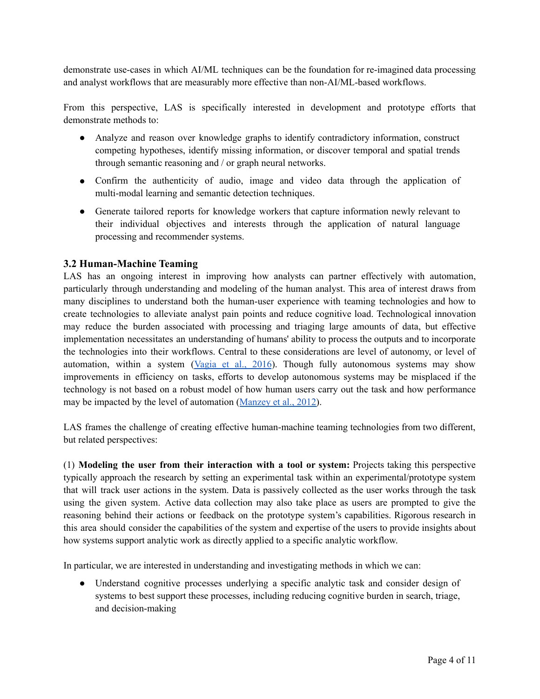demonstrate use-cases in which AI/ML techniques can be the foundation for re-imagined data processing and analyst workflows that are measurably more effective than non-AI/ML-based workflows.

From this perspective, LAS is specifically interested in development and prototype efforts that demonstrate methods to:

- Analyze and reason over knowledge graphs to identify contradictory information, construct competing hypotheses, identify missing information, or discover temporal and spatial trends through semantic reasoning and / or graph neural networks.
- Confirm the authenticity of audio, image and video data through the application of multi-modal learning and semantic detection techniques.
- Generate tailored reports for knowledge workers that capture information newly relevant to their individual objectives and interests through the application of natural language processing and recommender systems.

### **3.2 Human-Machine Teaming**

LAS has an ongoing interest in improving how analysts can partner effectively with automation, particularly through understanding and modeling of the human analyst. This area of interest draws from many disciplines to understand both the human-user experience with teaming technologies and how to create technologies to alleviate analyst pain points and reduce cognitive load. Technological innovation may reduce the burden associated with processing and triaging large amounts of data, but effective implementation necessitates an understanding of humans' ability to process the outputs and to incorporate the technologies into their workflows. Central to these considerations are level of autonomy, or level of automation, within a system  $(Vagia et al., 2016)$  $(Vagia et al., 2016)$ . Though fully autonomous systems may show improvements in efficiency on tasks, efforts to develop autonomous systems may be misplaced if the technology is not based on a robust model of how human users carry out the task and how performance may be impacted by the level of automation ([Manzey](#page-10-4) et al., 2012).

LAS frames the challenge of creating effective human-machine teaming technologies from two different, but related perspectives:

(1) **Modeling the user from their interaction with a tool or system:** Projects taking this perspective typically approach the research by setting an experimental task within an experimental/prototype system that will track user actions in the system. Data is passively collected as the user works through the task using the given system. Active data collection may also take place as users are prompted to give the reasoning behind their actions or feedback on the prototype system's capabilities. Rigorous research in this area should consider the capabilities of the system and expertise of the users to provide insights about how systems support analytic work as directly applied to a specific analytic workflow.

In particular, we are interested in understanding and investigating methods in which we can:

● Understand cognitive processes underlying a specific analytic task and consider design of systems to best support these processes, including reducing cognitive burden in search, triage, and decision-making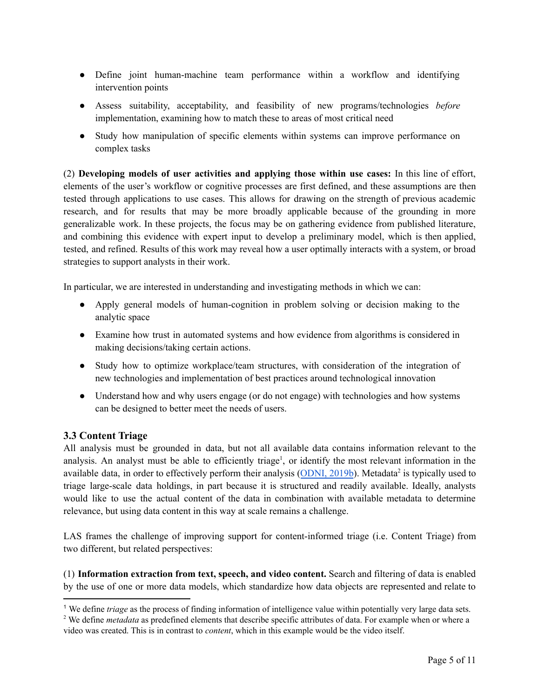- Define joint human-machine team performance within a workflow and identifying intervention points
- Assess suitability, acceptability, and feasibility of new programs/technologies *before* implementation, examining how to match these to areas of most critical need
- Study how manipulation of specific elements within systems can improve performance on complex tasks

(2) **Developing models of user activities and applying those within use cases:** In this line of effort, elements of the user's workflow or cognitive processes are first defined, and these assumptions are then tested through applications to use cases. This allows for drawing on the strength of previous academic research, and for results that may be more broadly applicable because of the grounding in more generalizable work. In these projects, the focus may be on gathering evidence from published literature, and combining this evidence with expert input to develop a preliminary model, which is then applied, tested, and refined. Results of this work may reveal how a user optimally interacts with a system, or broad strategies to support analysts in their work.

In particular, we are interested in understanding and investigating methods in which we can:

- Apply general models of human-cognition in problem solving or decision making to the analytic space
- Examine how trust in automated systems and how evidence from algorithms is considered in making decisions/taking certain actions.
- Study how to optimize workplace/team structures, with consideration of the integration of new technologies and implementation of best practices around technological innovation
- Understand how and why users engage (or do not engage) with technologies and how systems can be designed to better meet the needs of users.

### **3.3 Content Triage**

All analysis must be grounded in data, but not all available data contains information relevant to the analysis. An analyst must be able to efficiently triage<sup>1</sup>, or identify the most relevant information in the available data, in order to effectively perform their analysis ([ODNI,](#page-10-5) 2019b). Metadata<sup>2</sup> is typically used to triage large-scale data holdings, in part because it is structured and readily available. Ideally, analysts would like to use the actual content of the data in combination with available metadata to determine relevance, but using data content in this way at scale remains a challenge.

LAS frames the challenge of improving support for content-informed triage (i.e. Content Triage) from two different, but related perspectives:

(1) **Information extraction from text, speech, and video content.** Search and filtering of data is enabled by the use of one or more data models, which standardize how data objects are represented and relate to

<sup>1</sup> We define *triage* as the process of finding information of intelligence value within potentially very large data sets.

<sup>2</sup> We define *metadata* as predefined elements that describe specific attributes of data. For example when or where a video was created. This is in contrast to *content*, which in this example would be the video itself.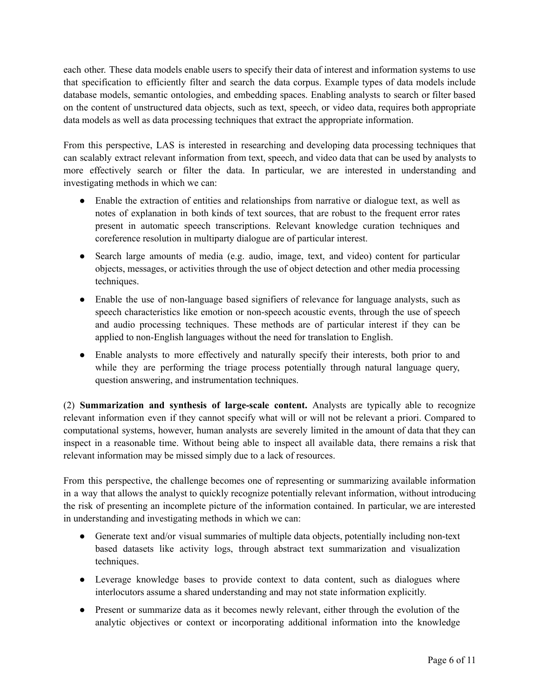each other. These data models enable users to specify their data of interest and information systems to use that specification to efficiently filter and search the data corpus. Example types of data models include database models, semantic ontologies, and embedding spaces. Enabling analysts to search or filter based on the content of unstructured data objects, such as text, speech, or video data, requires both appropriate data models as well as data processing techniques that extract the appropriate information.

From this perspective, LAS is interested in researching and developing data processing techniques that can scalably extract relevant information from text, speech, and video data that can be used by analysts to more effectively search or filter the data. In particular, we are interested in understanding and investigating methods in which we can:

- Enable the extraction of entities and relationships from narrative or dialogue text, as well as notes of explanation in both kinds of text sources, that are robust to the frequent error rates present in automatic speech transcriptions. Relevant knowledge curation techniques and coreference resolution in multiparty dialogue are of particular interest.
- Search large amounts of media (e.g. audio, image, text, and video) content for particular objects, messages, or activities through the use of object detection and other media processing techniques.
- Enable the use of non-language based signifiers of relevance for language analysts, such as speech characteristics like emotion or non-speech acoustic events, through the use of speech and audio processing techniques. These methods are of particular interest if they can be applied to non-English languages without the need for translation to English.
- Enable analysts to more effectively and naturally specify their interests, both prior to and while they are performing the triage process potentially through natural language query, question answering, and instrumentation techniques.

(2) **Summarization and synthesis of large-scale content.** Analysts are typically able to recognize relevant information even if they cannot specify what will or will not be relevant a priori. Compared to computational systems, however, human analysts are severely limited in the amount of data that they can inspect in a reasonable time. Without being able to inspect all available data, there remains a risk that relevant information may be missed simply due to a lack of resources.

From this perspective, the challenge becomes one of representing or summarizing available information in a way that allows the analyst to quickly recognize potentially relevant information, without introducing the risk of presenting an incomplete picture of the information contained. In particular, we are interested in understanding and investigating methods in which we can:

- Generate text and/or visual summaries of multiple data objects, potentially including non-text based datasets like activity logs, through abstract text summarization and visualization techniques.
- Leverage knowledge bases to provide context to data content, such as dialogues where interlocutors assume a shared understanding and may not state information explicitly.
- Present or summarize data as it becomes newly relevant, either through the evolution of the analytic objectives or context or incorporating additional information into the knowledge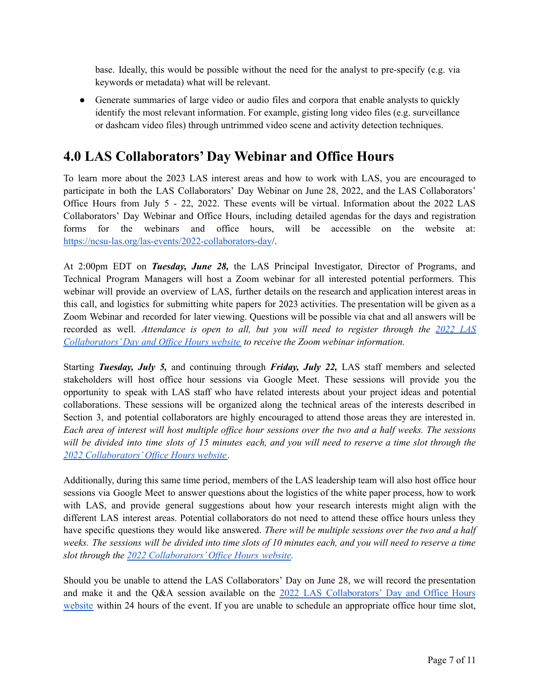base. Ideally, this would be possible without the need for the analyst to pre-specify (e.g. via keywords or metadata) what will be relevant.

• Generate summaries of large video or audio files and corpora that enable analysts to quickly identify the most relevant information. For example, gisting long video files (e.g. surveillance or dashcam video files) through untrimmed video scene and activity detection techniques.

### <span id="page-6-0"></span>**4.0 LAS Collaborators' Day Webinar and Office Hours**

To learn more about the 2023 LAS interest areas and how to work with LAS, you are encouraged to participate in both the LAS Collaborators' Day Webinar on June 28, 2022, and the LAS Collaborators' Office Hours from July 5 - 22, 2022. These events will be virtual. Information about the 2022 LAS Collaborators' Day Webinar and Office Hours, including detailed agendas for the days and registration forms for the webinars and office hours, will be accessible on the website at: <https://ncsu-las.org/las-events/2022-collaborators-day>/.

At 2:00pm EDT on *Tuesday, June 28,* the LAS Principal Investigator, Director of Programs, and Technical Program Managers will host a Zoom webinar for all interested potential performers. This webinar will provide an overview of LAS, further details on the research and application interest areas in this call, and logistics for submitting white papers for 2023 activities. The presentation will be given as a Zoom Webinar and recorded for later viewing. Questions will be possible via chat and all answers will be recorded as well. *Attendance is open to all, but you will need to register through the [2022](https://ncsu-las.org/las-events/2022-collaborators-day/) LAS [Collaborators'Day](https://ncsu-las.org/las-events/2022-collaborators-day/) and Of ice Hours website to receive the Zoom webinar information.*

Starting *Tuesday, July 5,* and continuing through *Friday, July 22,* LAS staff members and selected stakeholders will host office hour sessions via Google Meet. These sessions will provide you the opportunity to speak with LAS staff who have related interests about your project ideas and potential collaborations. These sessions will be organized along the technical areas of the interests described in Section 3, and potential collaborators are highly encouraged to attend those areas they are interested in. Each area of interest will host multiple office hour sessions over the two and a half weeks. The sessions will be divided into time slots of 15 minutes each, and you will need to reserve a time slot through the *2022 [Collaborators'Of](https://ncsu-las.org/las-events/2022-collaborators-day/office-hours/) ice Hours website .*

Additionally, during this same time period, members of the LAS leadership team will also host office hour sessions via Google Meet to answer questions about the logistics of the white paper process, how to work with LAS, and provide general suggestions about how your research interests might align with the different LAS interest areas. Potential collaborators do not need to attend these office hours unless they have specific questions they would like answered. *There will be multiple sessions over the two and a half* weeks. The sessions will be divided into time slots of 10 minutes each, and you will need to reserve a time *slot through the 2022 [Collaborators'Of](https://ncsu-las.org/las-events/2022-collaborators-day/office-hours/) ice Hours website.*

Should you be unable to attend the LAS Collaborators' Day on June 28, we will record the presentation and make it and the Q&A session available on the 2022 LAS [Collaborators'](https://ncsu-las.org/las-events/2022-collaborators-day/) Day and Office Hours [website](https://ncsu-las.org/las-events/2022-collaborators-day/) within 24 hours of the event. If you are unable to schedule an appropriate office hour time slot,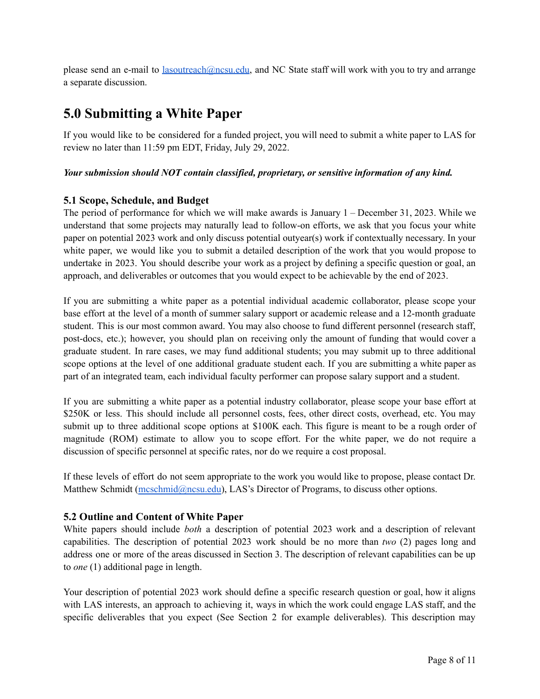please send an e-mail to [lasoutreach@ncsu.edu](mailto:lasoutreach@ncsu.edu), and NC State staff will work with you to try and arrange a separate discussion.

### <span id="page-7-0"></span>**5.0 Submitting a White Paper**

If you would like to be considered for a funded project, you will need to submit a white paper to LAS for review no later than 11:59 pm EDT, Friday, July 29, 2022.

#### *Your submission should NOT contain classified, proprietary, or sensitive information of any kind.*

### **5.1 Scope, Schedule, and Budget**

The period of performance for which we will make awards is January 1 – December 31, 2023. While we understand that some projects may naturally lead to follow-on efforts, we ask that you focus your white paper on potential 2023 work and only discuss potential outyear(s) work if contextually necessary. In your white paper, we would like you to submit a detailed description of the work that you would propose to undertake in 2023. You should describe your work as a project by defining a specific question or goal, an approach, and deliverables or outcomes that you would expect to be achievable by the end of 2023.

If you are submitting a white paper as a potential individual academic collaborator, please scope your base effort at the level of a month of summer salary support or academic release and a 12-month graduate student. This is our most common award. You may also choose to fund different personnel (research staff, post-docs, etc.); however, you should plan on receiving only the amount of funding that would cover a graduate student. In rare cases, we may fund additional students; you may submit up to three additional scope options at the level of one additional graduate student each. If you are submitting a white paper as part of an integrated team, each individual faculty performer can propose salary support and a student.

If you are submitting a white paper as a potential industry collaborator, please scope your base effort at \$250K or less. This should include all personnel costs, fees, other direct costs, overhead, etc. You may submit up to three additional scope options at \$100K each. This figure is meant to be a rough order of magnitude (ROM) estimate to allow you to scope effort. For the white paper, we do not require a discussion of specific personnel at specific rates, nor do we require a cost proposal.

If these levels of effort do not seem appropriate to the work you would like to propose, please contact Dr. Matthew Schmidt ([mcschmid@ncsu.edu\)](mailto:mcschmid@ncsu.edu), LAS's Director of Programs, to discuss other options.

### **5.2 Outline and Content of White Paper**

White papers should include *both* a description of potential 2023 work and a description of relevant capabilities. The description of potential 2023 work should be no more than *two* (2) pages long and address one or more of the areas discussed in Section 3. The description of relevant capabilities can be up to *one* (1) additional page in length.

Your description of potential 2023 work should define a specific research question or goal, how it aligns with LAS interests, an approach to achieving it, ways in which the work could engage LAS staff, and the specific deliverables that you expect (See Section 2 for example deliverables). This description may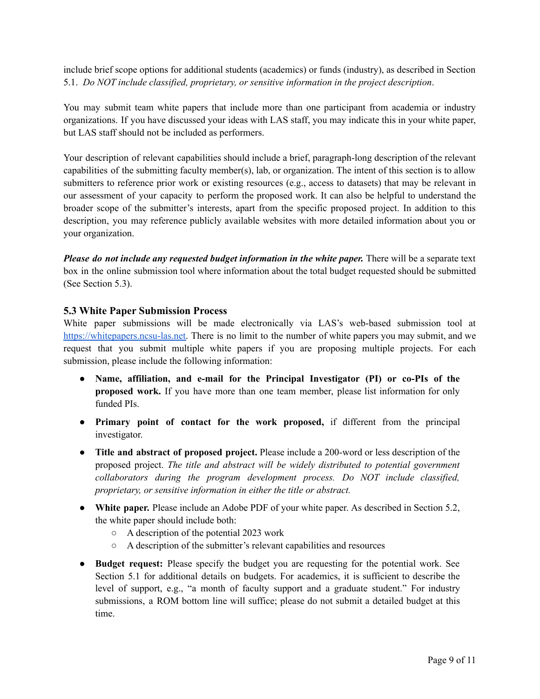include brief scope options for additional students (academics) or funds (industry), as described in Section 5.1. *Do NOT include classified, proprietary, or sensitive information in the project description*.

You may submit team white papers that include more than one participant from academia or industry organizations. If you have discussed your ideas with LAS staff, you may indicate this in your white paper, but LAS staff should not be included as performers.

Your description of relevant capabilities should include a brief, paragraph-long description of the relevant capabilities of the submitting faculty member(s), lab, or organization. The intent of this section is to allow submitters to reference prior work or existing resources (e.g., access to datasets) that may be relevant in our assessment of your capacity to perform the proposed work. It can also be helpful to understand the broader scope of the submitter's interests, apart from the specific proposed project. In addition to this description, you may reference publicly available websites with more detailed information about you or your organization.

*Please do not include any requested budget information in the white paper.* There will be a separate text box in the online submission tool where information about the total budget requested should be submitted (See Section 5.3).

### **5.3 White Paper Submission Process**

White paper submissions will be made electronically via LAS's web-based submission tool at [https://whitepapers.ncsu-las.net.](https://whitepapers.ncsu-las.net) There is no limit to the number of white papers you may submit, and we request that you submit multiple white papers if you are proposing multiple projects. For each submission, please include the following information:

- **Name, affiliation, and e-mail for the Principal Investigator (PI) or co-PIs of the proposed work.** If you have more than one team member, please list information for only funded PIs.
- **Primary point of contact for the work proposed,** if different from the principal investigator.
- **Title and abstract of proposed project.** Please include a 200-word or less description of the proposed project. *The title and abstract will be widely distributed to potential government collaborators during the program development process. Do NOT include classified, proprietary, or sensitive information in either the title or abstract.*
- **White paper.** Please include an Adobe PDF of your white paper. As described in Section 5.2, the white paper should include both:
	- A description of the potential 2023 work
	- A description of the submitter's relevant capabilities and resources
- **Budget request:** Please specify the budget you are requesting for the potential work. See Section 5.1 for additional details on budgets. For academics, it is sufficient to describe the level of support, e.g., "a month of faculty support and a graduate student." For industry submissions, a ROM bottom line will suffice; please do not submit a detailed budget at this time.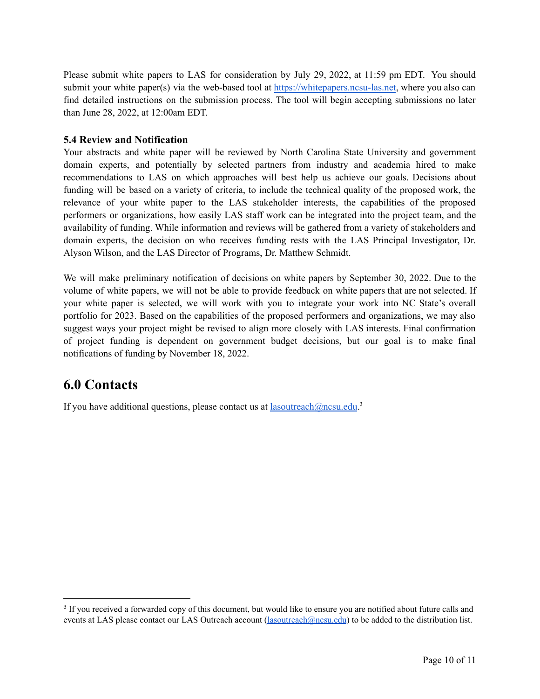Please submit white papers to LAS for consideration by July 29, 2022, at 11:59 pm EDT. You should submit your white paper(s) via the web-based tool at <https://whitepapers.ncsu-las.net>, where you also can find detailed instructions on the submission process. The tool will begin accepting submissions no later than June 28, 2022, at 12:00am EDT.

### **5.4 Review and Notification**

Your abstracts and white paper will be reviewed by North Carolina State University and government domain experts, and potentially by selected partners from industry and academia hired to make recommendations to LAS on which approaches will best help us achieve our goals. Decisions about funding will be based on a variety of criteria, to include the technical quality of the proposed work, the relevance of your white paper to the LAS stakeholder interests, the capabilities of the proposed performers or organizations, how easily LAS staff work can be integrated into the project team, and the availability of funding. While information and reviews will be gathered from a variety of stakeholders and domain experts, the decision on who receives funding rests with the LAS Principal Investigator, Dr. Alyson Wilson, and the LAS Director of Programs, Dr. Matthew Schmidt.

We will make preliminary notification of decisions on white papers by September 30, 2022. Due to the volume of white papers, we will not be able to provide feedback on white papers that are not selected. If your white paper is selected, we will work with you to integrate your work into NC State's overall portfolio for 2023. Based on the capabilities of the proposed performers and organizations, we may also suggest ways your project might be revised to align more closely with LAS interests. Final confirmation of project funding is dependent on government budget decisions, but our goal is to make final notifications of funding by November 18, 2022.

### **6.0 Contacts**

If you have additional questions, please contact us at **[lasoutreach@ncsu.edu](mailto:lasoutreach@ncsu.edu).**<sup>3</sup>

<sup>&</sup>lt;sup>3</sup> If you received a forwarded copy of this document, but would like to ensure you are notified about future calls and events at LAS please contact our LAS Outreach account (*lasoutreach@ncsu.edu*) to be added to the distribution list.